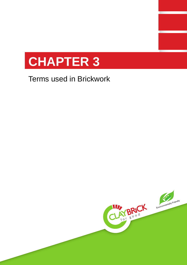

# Terms used in Brickwork

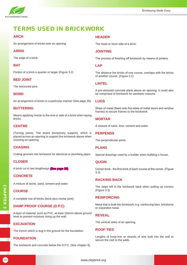

# TERMS USED IN BRICKWORK

# **ARCH**

An arrangement of bricks over an opening.

#### **ARRIS**

The edge of a brick.

#### **BAT**

Portion of a brick a quarter or larger (Figure 3.2)

#### **BED JOINT**

The horizontal joint.

#### **BOND**

An arrangement of bricks in a particular manner (See page 26).

#### **BUTTERING**

Means applying mortar to the end or side of a brick when laying bricks.

# **CENTRE**

(Turning piece). The board (temporary support), which is placed across an opening to support the brickwork above when crossing an opening.

#### **CHASING**

Cutting grooves into brickwork for electrical or plumbing pipes.

#### **CLOSER**

A brick cut in two lengthways (See page 28)

#### **CONCRETE**

A mixture of stone, sand, cement and water.

#### **COURSE**

A complete row of bricks (brick plus mortar joint).

#### **DAMP PROOF COURSE (D.P.C)**

A layer of material, such as PVC, at least 150mm above ground level to prevent moisture rising up the wall.

#### **EXCAVATION**

The trench which is dug in the ground for the foundation.

#### **FOUNDATION**

The brickwork and concrete below the D.P.C. (See chapter 8).

## **HEADER**

The head or short side of a brick.

#### **JOINTING**

The process of finishing off brickwork by means of jointers.

#### **LAP**

The distance the bricks of one course, overlaps with the bricks of another course. (Figure 3.1)

#### **LINTEL**

A pre-stressed concrete plank above an opening. It could also be comprised of brickwork for aesthetic reasons.

#### **LUGS**

Strips of metal (fixed onto the sides of metal doors and window frames) to secure frames to the brickwork.

#### **MORTAR**

A mixture of sand, lime, cement and water.

#### **PERPENDS**

The perpendicular joints.

#### **PLANS**

Special drawings used by a builder when building a house.

#### **QUOIN**

Corner brick - the first brick of each course at the corner. (Figure 3.3)

#### **RACKING BACK**

The steps left in the brickwork back when pulling up corners (Figure 3.3)

#### **REINFORCING**

Metal that is built into brickwork, e.g. reinforcing bars, brickforce or expanded metal.

#### **REVEAL**

The vertical sides of an opening.

#### **ROOF TIES**

Lengths of hoop-iron or strands of wire built into the wall to secure the roof to the walls.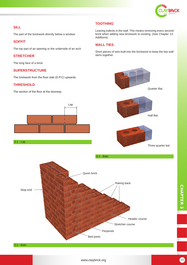

# **SILL**

The part of the brickwork directly below a window.

# **SOFFIT**

The top part of an opening or the underside of an arch

## **STRETCHER**

The long face of a brick.

#### **SUPERSTRUCTURE**

The brickwork from the floor slab (D.P.C) upwards.

# **THRESHOLD**

The section of the floor at the doorway.





# **TOOTHING**

Leaving indents in the wall. This means removing every second brick when adding new brickwork to existing. (See Chapter 13: Additions)

# **WALL TIES**

Short pieces of wire built into the brickwork to keep the two wall skins together.

> Quarter Bat Half Bat Three quarter bat

3.1 - Bats